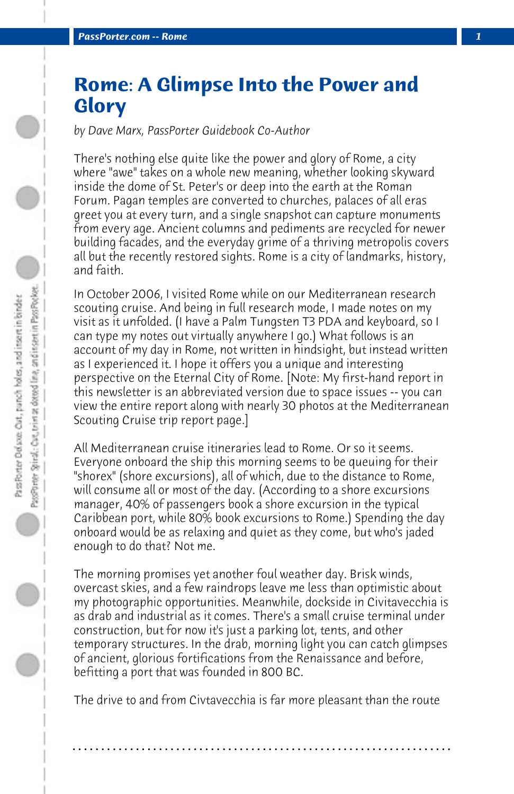## **Rome: A Glimpse Into the Power and Glory**

*by Dave Marx, PassPorter Guidebook Co-Author*

There's nothing else quite like the power and glory of Rome, a city where "awe" takes on a whole new meaning, whether looking skyward inside the dome of St. Peter's or deep into the earth at the Roman Forum. Pagan temples are converted to churches, palaces of all eras greet you at every turn, and a single snapshot can capture monuments from every age. Ancient columns and pediments are recycled for newer building facades, and the everyday grime of a thriving metropolis covers all but the recently restored sights. Rome is a city of landmarks, history, and faith.

In October 2006, I visited Rome while on our Mediterranean research scouting cruise. And being in full research mode, I made notes on my visit as it unfolded. (I have a Palm Tungsten T3 PDA and keyboard, so I can type my notes out virtually anywhere I go.) What follows is an account of my day in Rome, not written in hindsight, but instead written as I experienced it. I hope it offers you a unique and interesting perspective on the Eternal City of Rome. [Note: My first-hand report in this newsletter is an abbreviated version due to space issues -- you can view the entire report along with nearly 30 photos at the Mediterranean Scouting Cruise trip report page.]

All Mediterranean cruise itineraries lead to Rome. Or so it seems. Everyone onboard the ship this morning seems to be queuing for their "shorex" (shore excursions), all of which, due to the distance to Rome, will consume all or most of the day. (According to a shore excursions manager, 40% of passengers book a shore excursion in the typical Caribbean port, while 80% book excursions to Rome.) Spending the day onboard would be as relaxing and quiet as they come, but who's jaded enough to do that? Not me.

The morning promises yet another foul weather day. Brisk winds, overcast skies, and a few raindrops leave me less than optimistic about my photographic opportunities. Meanwhile, dockside in Civitavecchia is as drab and industrial as it comes. There's a small cruise terminal under construction, but for now it's just a parking lot, tents, and other temporary structures. In the drab, morning light you can catch glimpses of ancient, glorious fortifications from the Renaissance and before, befitting a port that was founded in 800 BC.

The drive to and from Civtavecchia is far more pleasant than the route

**. . . . . . . . . . . . . . . . . . . . . . . . . . . . . . . . . . . . . . . . . . . . . . . . . . . . . . . . . . . . . . . . . .**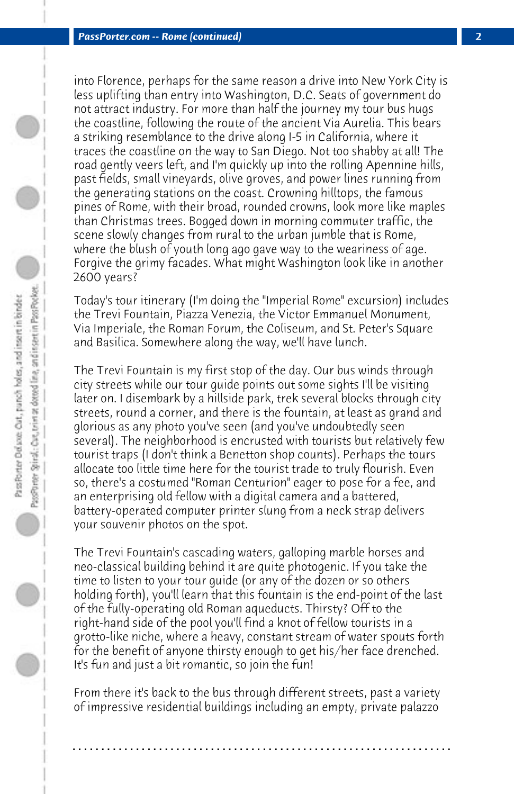into Florence, perhaps for the same reason a drive into New York City is less uplifting than entry into Washington, D.C. Seats of government do not attract industry. For more than half the journey my tour bus hugs the coastline, following the route of the ancient Via Aurelia. This bears a striking resemblance to the drive along I-5 in California, where it traces the coastline on the way to San Diego. Not too shabby at all! The road gently veers left, and I'm quickly up into the rolling Apennine hills, past fields, small vineyards, olive groves, and power lines running from the generating stations on the coast. Crowning hilltops, the famous pines of Rome, with their broad, rounded crowns, look more like maples than Christmas trees. Bogged down in morning commuter traffic, the scene slowly changes from rural to the urban jumble that is Rome, where the blush of youth long ago gave way to the weariness of age. Forgive the grimy facades. What might Washington look like in another 2600 years?

Today's tour itinerary (I'm doing the "Imperial Rome" excursion) includes the Trevi Fountain, Piazza Venezia, the Victor Emmanuel Monument, Via Imperiale, the Roman Forum, the Coliseum, and St. Peter's Square and Basilica. Somewhere along the way, we'll have lunch.

The Trevi Fountain is my first stop of the day. Our bus winds through city streets while our tour guide points out some sights I'll be visiting later on. I disembark by a hillside park, trek several blocks through city streets, round a corner, and there is the fountain, at least as grand and glorious as any photo you've seen (and you've undoubtedly seen several). The neighborhood is encrusted with tourists but relatively few tourist traps (I don't think a Benetton shop counts). Perhaps the tours allocate too little time here for the tourist trade to truly flourish. Even so, there's a costumed "Roman Centurion" eager to pose for a fee, and an enterprising old fellow with a digital camera and a battered, battery-operated computer printer slung from a neck strap delivers your souvenir photos on the spot.

The Trevi Fountain's cascading waters, galloping marble horses and neo-classical building behind it are quite photogenic. If you take the time to listen to your tour guide (or any of the dozen or so others holding forth), you'll learn that this fountain is the end-point of the last of the fully-operating old Roman aqueducts. Thirsty? Off to the right-hand side of the pool you'll find a knot of fellow tourists in a grotto-like niche, where a heavy, constant stream of water spouts forth for the benefit of anyone thirsty enough to get his/her face drenched. It's fun and just a bit romantic, so join the fun!

From there it's back to the bus through different streets, past a variety of impressive residential buildings including an empty, private palazzo

**. . . . . . . . . . . . . . . . . . . . . . . . . . . . . . . . . . . . . . . . . . . . . . . . . . . . . . . . . . . . . . . . . .**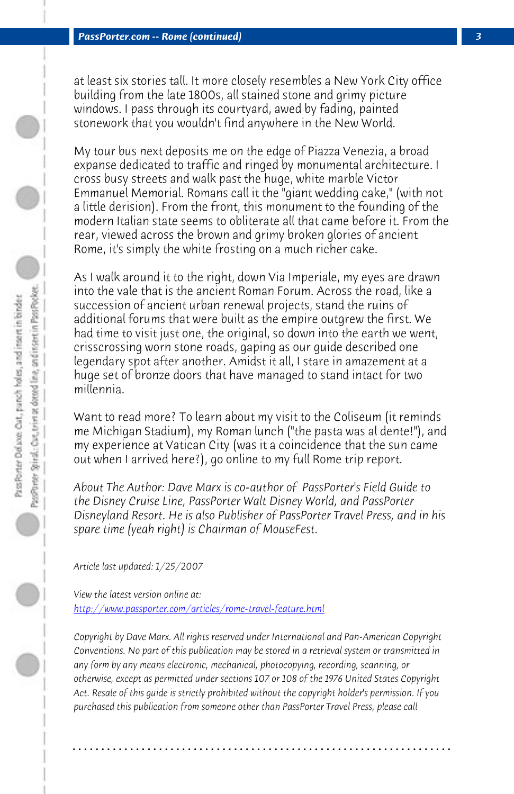*PassPorter.com -- Rome (continued) 3*

at least six stories tall. It more closely resembles a New York City office building from the late 1800s, all stained stone and grimy picture windows. I pass through its courtyard, awed by fading, painted stonework that you wouldn't find anywhere in the New World.

My tour bus next deposits me on the edge of Piazza Venezia, a broad expanse dedicated to traffic and ringed by monumental architecture. I cross busy streets and walk past the huge, white marble Victor Emmanuel Memorial. Romans call it the "giant wedding cake," (with not a little derision). From the front, this monument to the founding of the modern Italian state seems to obliterate all that came before it. From the rear, viewed across the brown and grimy broken glories of ancient Rome, it's simply the white frosting on a much richer cake.

As I walk around it to the right, down Via Imperiale, my eyes are drawn into the vale that is the ancient Roman Forum. Across the road, like a succession of ancient urban renewal projects, stand the ruins of additional forums that were built as the empire outgrew the first. We had time to visit just one, the original, so down into the earth we went, crisscrossing worn stone roads, gaping as our guide described one legendary spot after another. Amidst it all, I stare in amazement at a [huge set of bronze doors that have managed to s](http://www.passporter.com/articles/rome-travel-feature.php)tand intact for two millennia.

Want to read more? To learn about my visit to the Coliseum (it reminds me Michigan Stadium), my Roman lunch ("the pasta was al dente!"), and my experience at Vatican City (was it a coincidence that the sun came out when I arrived here?), go online to my full Rome trip report.

*About The Author: Dave Marx is co-author of PassPorter's Field Guide to the Disney Cruise Line, PassPorter Walt Disney World, and PassPorter Disneyland Resort. He is also Publisher of PassPorter Travel Press, and in his spare time (yeah right) is Chairman of MouseFest.*

*Article last updated: 1/25/2007*

*View the latest version online at: http://www.passporter.com/articles/rome-travel-feature.html*

*Copyright by Dave Marx. All rights reserved under International and Pan-American Copyright Conventions. No part of this publication may be stored in a retrieval system or transmitted in any form by any means electronic, mechanical, photocopying, recording, scanning, or otherwise, except as permitted under sections 107 or 108 of the 1976 United States Copyright Act. Resale of this guide is strictly prohibited without the copyright holder's permission. If you purchased this publication from someone other than PassPorter Travel Press, please call*

**. . . . . . . . . . . . . . . . . . . . . . . . . . . . . . . . . . . . . . . . . . . . . . . . . . . . . . . . . . . . . . . . . .**